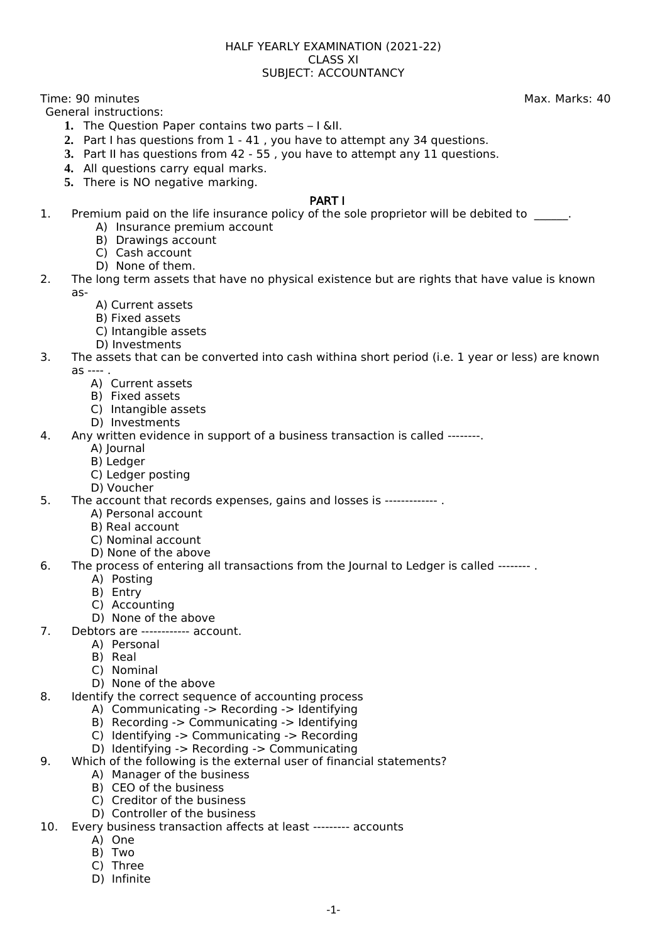#### HALF YEARLY EXAMINATION (2021-22) CLASS XI SUBJECT: ACCOUNTANCY

Time: 90 minutes **Max. Marks: 40** 

General instructions:

- **1.** The Question Paper contains two parts I &II.
- **2.** Part I has questions from 1 41 , you have to attempt any 34 questions.
- **3.** Part II has questions from 42 55 , you have to attempt any 11 questions.
- 4. All questions carry equal marks.
- **5.** There is NO negative marking.

## PART I

- 1. Premium paid on the life insurance policy of the sole proprietor will be debited to \_\_\_\_\_.
	- A) Insurance premium account
	- B) Drawings account
	- C) Cash account
	- D) None of them.
- 2. The long term assets that have no physical existence but are rights that have value is known as-
	- A) Current assets
	- B) Fixed assets
	- C) Intangible assets
	- D) Investments
- 3. The assets that can be converted into cash withina short period (i.e. 1 year or less) are known as ---- .
	- A) Current assets
	- B) Fixed assets
	- C) Intangible assets
	- D) Investments
- 4. Any written evidence in support of a business transaction is called --------.
	- A) Journal
	- B) Ledger
	- C) Ledger posting
	- D) Voucher
- 5. The account that records expenses, gains and losses is ------------- .
	- A) Personal account
	- B) Real account
	- C) Nominal account
	- D) None of the above
- 6. The process of entering all transactions from the Journal to Ledger is called -------- .
	- A) Posting
	- B) Entry
	- C) Accounting
	- D) None of the above
- 7. Debtors are ------------ account.
	- A) Personal
	- B) Real
	- C) Nominal
	- D) None of the above
- 8. Identify the correct sequence of accounting process
	- A) Communicating -> Recording -> Identifying
	- B) Recording -> Communicating -> Identifying
	- C) Identifying -> Communicating -> Recording
	- D) Identifying -> Recording -> Communicating
- 9. Which of the following is the external user of financial statements?
	- A) Manager of the business
		- B) CEO of the business
		- C) Creditor of the business
		- D) Controller of the business
- 10. Every business transaction affects at least --------- accounts
	- A) One
	- B) Two
	- C) Three
	- D) Infinite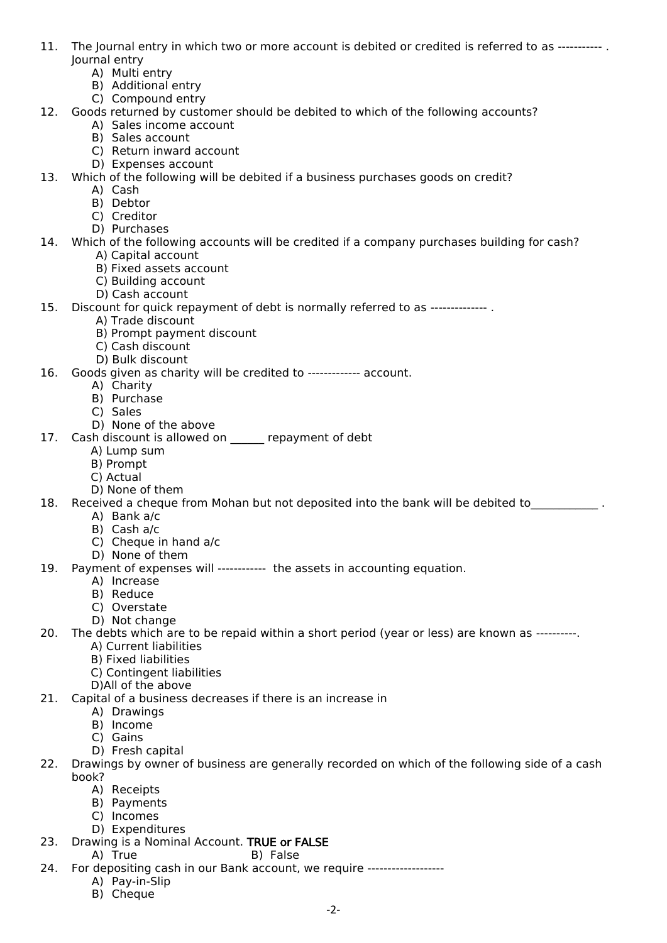- 11. The Journal entry in which two or more account is debited or credited is referred to as ----------- . Journal entry
	- A) Multi entry
	- B) Additional entry
	- C) Compound entry
- 12. Goods returned by customer should be debited to which of the following accounts?
	- A) Sales income account B) Sales account
	-
	- C) Return inward account D) Expenses account
- 13. Which of the following will be debited if a business purchases goods on credit?
	- A) Cash
		- B) Debtor
		- C) Creditor
		- D) Purchases
- 14. Which of the following accounts will be credited if a company purchases building for cash? A) Capital account
	- B) Fixed assets account
	- C) Building account
	- D) Cash account
- 15. Discount for quick repayment of debt is normally referred to as -------------- .
	- A) Trade discount
	- B) Prompt payment discount
	- C) Cash discount
	- D) Bulk discount
- 16. Goods given as charity will be credited to ------------- account.
	- A) Charity
		- B) Purchase
		- C) Sales
		- D) None of the above
- 17. Cash discount is allowed on repayment of debt
	- A) Lump sum
	- B) Prompt
	- C) Actual
	- D) None of them
- 18. Received a cheque from Mohan but not deposited into the bank will be debited to  $\qquad \qquad$ 
	- A) Bank a/c
	- B) Cash a/c
	- C) Cheque in hand a/c
	- D) None of them
- 19. Payment of expenses will ------------ the assets in accounting equation.
	- A) Increase
	- B) Reduce
	- C) Overstate
	- D) Not change
- 20. The debts which are to be repaid within a short period (year or less) are known as ----------.
	- A) Current liabilities
	- B) Fixed liabilities
	- C) Contingent liabilities
	- D)All of the above
- 21. Capital of a business decreases if there is an increase in
	- A) Drawings
	- B) Income
	- C) Gains
	- D) Fresh capital
- 22. Drawings by owner of business are generally recorded on which of the following side of a cash book?
	- A) Receipts
	- B) Payments
	- C) Incomes
	- D) Expenditures
- 23. Drawing is a Nominal Account. TRUE or FALSE
	- A) True B) False
- 24. For depositing cash in our Bank account, we require -------------------
	- A) Pay-in-Slip
	- B) Cheque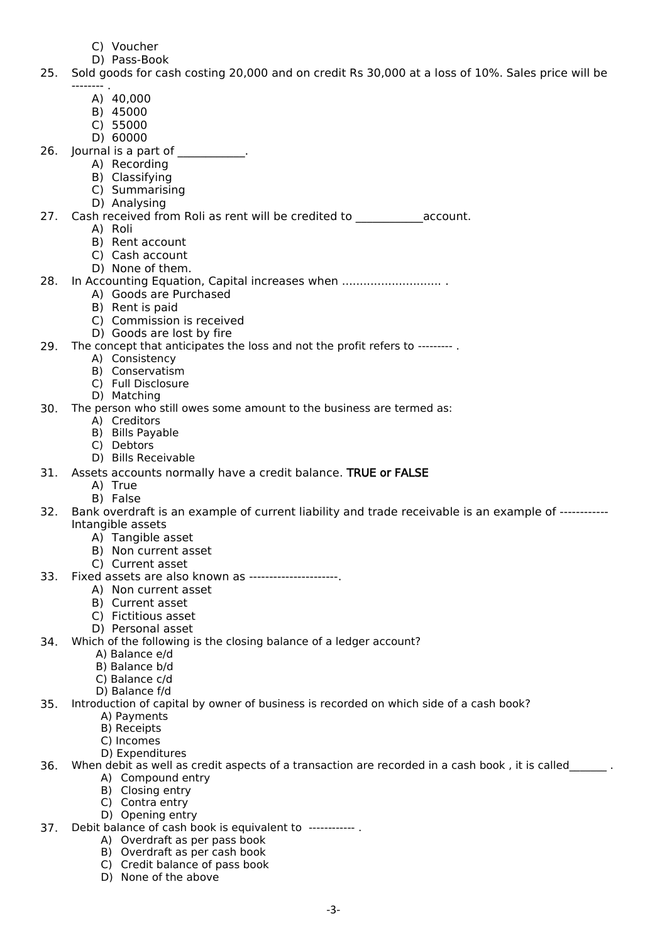- C) Voucher
- D) Pass-Book

## 25. Sold goods for cash costing 20,000 and on credit Rs 30,000 at a loss of 10%. Sales price will be -------- .

- A) 40,000
- B) 45000
- C) 55000
- D) 60000
- 26. Journal is a part of \_\_\_\_\_\_\_\_\_\_.
	- A) Recording
		- B) Classifying
		- C) Summarising D) Analysing
- 27. Cash received from Roli as rent will be credited to account.
	- A) Roli
	- B) Rent account
	- C) Cash account
	- D) None of them.

# 28. In Accounting Equation, Capital increases when .............................

- A) Goods are Purchased
	- B) Rent is paid
	- C) Commission is received
	- D) Goods are lost by fire

## 29. The concept that anticipates the loss and not the profit refers to --------- .

- A) Consistency
- B) Conservatism
- C) Full Disclosure
- D) Matching
- 30. The person who still owes some amount to the business are termed as:
	- A) Creditors
	- B) Bills Payable
	- C) Debtors
	- D) Bills Receivable
- 31. Assets accounts normally have a credit balance. TRUE or FALSE
	- A) True
		- B) False
- 32. Bank overdraft is an example of current liability and trade receivable is an example of ------------ Intangible assets
	- A) Tangible asset
	- B) Non current asset
	- C) Current asset
- 33. Fixed assets are also known as ----------------------.
	- A) Non current asset
	- B) Current asset
	- C) Fictitious asset
	- D) Personal asset
- 34. Which of the following is the closing balance of a ledger account?
	- A) Balance e/d
		- B) Balance b/d
		- C) Balance c/d
		- D) Balance f/d
- 35. Introduction of capital by owner of business is recorded on which side of a cash book?
	- A) Payments
		- B) Receipts
		- C) Incomes
	- D) Expenditures
- 36. When debit as well as credit aspects of a transaction are recorded in a cash book, it is called
	- A) Compound entry
	- B) Closing entry
	- C) Contra entry
	- D) Opening entry
- 37. Debit balance of cash book is equivalent to ------------ .
	- A) Overdraft as per pass book
	- B) Overdraft as per cash book
	- C) Credit balance of pass book
	- D) None of the above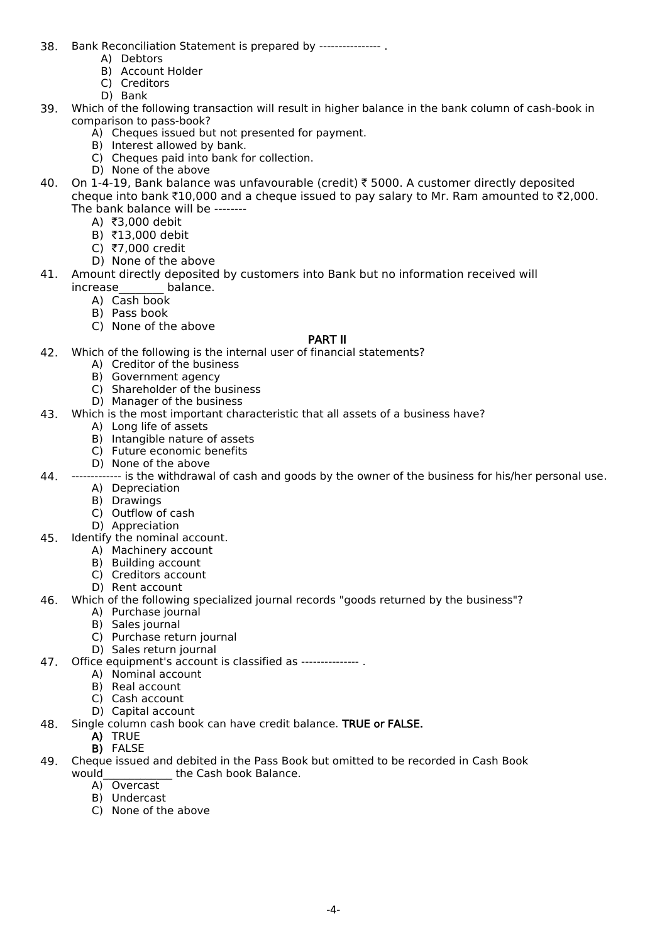- 38. Bank Reconciliation Statement is prepared by ---------------- .
	- A) Debtors
	- B) Account Holder
	- C) Creditors
	- D) Bank
- 39. Which of the following transaction will result in higher balance in the bank column of cash-book in comparison to pass-book?
	- A) Cheques issued but not presented for payment.
	- B) Interest allowed by bank.
	- C) Cheques paid into bank for collection.
	- D) None of the above
- 40. On 1-4-19, Bank balance was unfavourable (credit)  $\bar{z}$  5000. A customer directly deposited cheque into bank  $\bar{\tau}10,000$  and a cheque issued to pay salary to Mr. Ram amounted to  $\bar{\tau}2,000$ . The bank balance will be --------
	- A) ₹3,000 debit
	- B) ₹13,000 debit
	- $C$ ) ₹7,000 credit
	- D) None of the above
- 41. Amount directly deposited by customers into Bank but no information received will
	- increase balance.
		- A) Cash book
		- B) Pass book
		- C) None of the above

## PART II

- 42. Which of the following is the internal user of financial statements?
	- A) Creditor of the business
	- B) Government agency
	- C) Shareholder of the business
	- D) Manager of the business
- 43. Which is the most important characteristic that all assets of a business have?
	- A) Long life of assets
	- B) Intangible nature of assets
	- C) Future economic benefits
	- D) None of the above
- 44. ------------- is the withdrawal of cash and goods by the owner of the business for his/her personal use.
	- A) Depreciation
		- B) Drawings
		- C) Outflow of cash
	- D) Appreciation
- 45. Identify the nominal account.
	- A) Machinery account
	- B) Building account
	- C) Creditors account
	- D) Rent account
- 46. Which of the following specialized journal records "goods returned by the business"?
	- A) Purchase journal
	- B) Sales journal
	- C) Purchase return journal
	- D) Sales return journal
- 47. Office equipment's account is classified as --------------- .
	- A) Nominal account
	- B) Real account
	- C) Cash account
	- D) Capital account
- 48. Single column cash book can have credit balance. TRUE or FALSE.
	- A) TRUE
	- B) FALSE
- 49. Cheque issued and debited in the Pass Book but omitted to be recorded in Cash Book would the Cash book Balance. the Cash book Balance.
	- A) Overcast
	- B) Undercast
	- C) None of the above